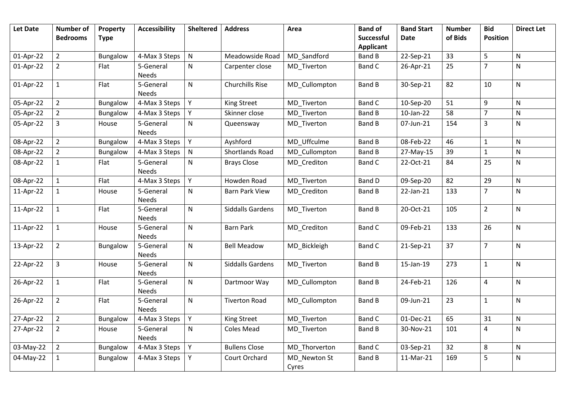| <b>Let Date</b> | <b>Number of</b> | Property    | <b>Accessibility</b>      | <b>Sheltered</b> | <b>Address</b>          | Area                  | <b>Band of</b>   | <b>Band Start</b> | <b>Number</b> | <b>Bid</b>      | <b>Direct Let</b> |
|-----------------|------------------|-------------|---------------------------|------------------|-------------------------|-----------------------|------------------|-------------------|---------------|-----------------|-------------------|
|                 | <b>Bedrooms</b>  | <b>Type</b> |                           |                  |                         |                       | Successful       | Date              | of Bids       | <b>Position</b> |                   |
|                 |                  |             |                           |                  |                         |                       | <b>Applicant</b> |                   |               |                 |                   |
| 01-Apr-22       | $\overline{2}$   | Bungalow    | 4-Max 3 Steps             | ${\sf N}$        | Meadowside Road         | MD_Sandford           | Band B           | 22-Sep-21         | 33            | 5               | $\mathsf{N}$      |
| 01-Apr-22       | $\overline{2}$   | Flat        | 5-General<br><b>Needs</b> | $\mathsf{N}$     | Carpenter close         | MD_Tiverton           | Band C           | 26-Apr-21         | 25            | $\overline{7}$  | $\mathsf{N}$      |
| 01-Apr-22       | $\mathbf{1}$     | Flat        | 5-General<br><b>Needs</b> | ${\sf N}$        | <b>Churchills Rise</b>  | MD_Cullompton         | <b>Band B</b>    | 30-Sep-21         | 82            | 10              | ${\sf N}$         |
| 05-Apr-22       | $\overline{2}$   | Bungalow    | 4-Max 3 Steps             | Υ                | <b>King Street</b>      | MD_Tiverton           | <b>Band C</b>    | 10-Sep-20         | 51            | 9               | $\mathsf{N}$      |
| 05-Apr-22       | $\overline{2}$   | Bungalow    | 4-Max 3 Steps             | Y                | Skinner close           | MD_Tiverton           | <b>Band B</b>    | 10-Jan-22         | 58            | $\overline{7}$  | ${\sf N}$         |
| 05-Apr-22       | $\overline{3}$   | House       | 5-General<br><b>Needs</b> | ${\sf N}$        | Queensway               | MD_Tiverton           | Band B           | 07-Jun-21         | 154           | $\overline{3}$  | ${\sf N}$         |
| 08-Apr-22       | $\overline{2}$   | Bungalow    | 4-Max 3 Steps             | Υ                | Ayshford                | MD Uffculme           | Band B           | 08-Feb-22         | 46            | $\mathbf{1}$    | ${\sf N}$         |
| 08-Apr-22       | $\overline{2}$   | Bungalow    | 4-Max 3 Steps             | ${\sf N}$        | <b>Shortlands Road</b>  | MD Cullompton         | Band B           | 27-May-15         | 39            | $\mathbf{1}$    | ${\sf N}$         |
| 08-Apr-22       | $\mathbf{1}$     | Flat        | 5-General<br><b>Needs</b> | ${\sf N}$        | <b>Brays Close</b>      | MD_Crediton           | <b>Band C</b>    | 22-Oct-21         | 84            | 25              | ${\sf N}$         |
| 08-Apr-22       | $\mathbf{1}$     | Flat        | 4-Max 3 Steps             | Y                | <b>Howden Road</b>      | MD Tiverton           | <b>Band D</b>    | 09-Sep-20         | 82            | 29              | $\mathsf{N}$      |
| 11-Apr-22       | $\mathbf{1}$     | House       | 5-General<br>Needs        | ${\sf N}$        | <b>Barn Park View</b>   | MD Crediton           | Band B           | 22-Jan-21         | 133           | $\overline{7}$  | N                 |
| 11-Apr-22       | $\mathbf{1}$     | Flat        | 5-General<br>Needs        | $\mathsf{N}$     | <b>Siddalls Gardens</b> | MD Tiverton           | Band B           | 20-Oct-21         | 105           | $\overline{2}$  | ${\sf N}$         |
| 11-Apr-22       | $\mathbf{1}$     | House       | 5-General<br><b>Needs</b> | N                | <b>Barn Park</b>        | MD_Crediton           | <b>Band C</b>    | 09-Feb-21         | 133           | 26              | $\mathsf{N}$      |
| 13-Apr-22       | $\overline{2}$   | Bungalow    | 5-General<br><b>Needs</b> | ${\sf N}$        | <b>Bell Meadow</b>      | MD_Bickleigh          | Band C           | 21-Sep-21         | 37            | $\overline{7}$  | N                 |
| 22-Apr-22       | $\overline{3}$   | House       | 5-General<br><b>Needs</b> | ${\sf N}$        | <b>Siddalls Gardens</b> | MD Tiverton           | Band B           | 15-Jan-19         | 273           | $\mathbf{1}$    | ${\sf N}$         |
| 26-Apr-22       | $\mathbf{1}$     | Flat        | 5-General<br>Needs        | ${\sf N}$        | Dartmoor Way            | MD_Cullompton         | Band B           | 24-Feb-21         | 126           | $\overline{4}$  | $\mathsf{N}$      |
| 26-Apr-22       | $\overline{2}$   | Flat        | 5-General<br><b>Needs</b> | ${\sf N}$        | <b>Tiverton Road</b>    | MD_Cullompton         | Band B           | 09-Jun-21         | 23            | $\mathbf 1$     | ${\sf N}$         |
| 27-Apr-22       | $\overline{2}$   | Bungalow    | 4-Max 3 Steps             | Y                | <b>King Street</b>      | MD_Tiverton           | Band C           | 01-Dec-21         | 65            | 31              | ${\sf N}$         |
| 27-Apr-22       | $\overline{2}$   | House       | 5-General<br><b>Needs</b> | ${\sf N}$        | <b>Coles Mead</b>       | MD Tiverton           | Band B           | 30-Nov-21         | 101           | $\overline{4}$  | ${\sf N}$         |
| 03-May-22       | $\overline{2}$   | Bungalow    | 4-Max 3 Steps             | Y                | <b>Bullens Close</b>    | MD_Thorverton         | <b>Band C</b>    | 03-Sep-21         | 32            | 8               | ${\sf N}$         |
| 04-May-22       | $\mathbf{1}$     | Bungalow    | 4-Max 3 Steps             | Y                | Court Orchard           | MD_Newton St<br>Cyres | Band B           | 11-Mar-21         | 169           | 5               | ${\sf N}$         |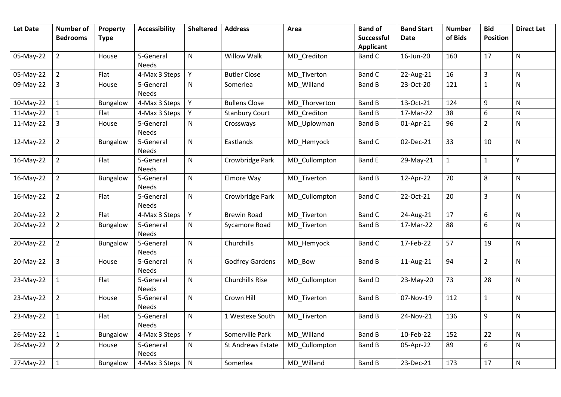| <b>Let Date</b> | <b>Number of</b> | Property    | <b>Accessibility</b>      | <b>Sheltered</b> | <b>Address</b>         | Area          | <b>Band of</b>   | <b>Band Start</b> | <b>Number</b> | <b>Bid</b>              | <b>Direct Let</b> |
|-----------------|------------------|-------------|---------------------------|------------------|------------------------|---------------|------------------|-------------------|---------------|-------------------------|-------------------|
|                 | <b>Bedrooms</b>  | <b>Type</b> |                           |                  |                        |               | Successful       | <b>Date</b>       | of Bids       | <b>Position</b>         |                   |
|                 |                  |             |                           |                  |                        |               | <b>Applicant</b> |                   |               |                         |                   |
| 05-May-22       | $\overline{2}$   | House       | 5-General<br><b>Needs</b> | $\mathsf{N}$     | <b>Willow Walk</b>     | MD_Crediton   | Band C           | 16-Jun-20         | 160           | 17                      | ${\sf N}$         |
| 05-May-22       | $\overline{2}$   | Flat        | 4-Max 3 Steps             | Υ                | <b>Butler Close</b>    | MD_Tiverton   | <b>Band C</b>    | 22-Aug-21         | 16            | 3                       | ${\sf N}$         |
| 09-May-22       | $\mathbf{3}$     | House       | 5-General<br><b>Needs</b> | ${\sf N}$        | Somerlea               | MD_Willand    | Band B           | 23-Oct-20         | 121           | $\mathbf 1$             | N                 |
| 10-May-22       | $\mathbf{1}$     | Bungalow    | 4-Max 3 Steps             | Υ                | <b>Bullens Close</b>   | MD Thorverton | Band B           | 13-Oct-21         | 124           | 9                       | ${\sf N}$         |
| 11-May-22       | 1                | Flat        | 4-Max 3 Steps             | Υ                | <b>Stanbury Court</b>  | MD Crediton   | Band B           | 17-Mar-22         | 38            | 6                       | ${\sf N}$         |
| 11-May-22       | $\overline{3}$   | House       | 5-General<br>Needs        | ${\sf N}$        | Crossways              | MD_Uplowman   | Band B           | 01-Apr-21         | 96            | $\overline{2}$          | ${\sf N}$         |
| 12-May-22       | $\overline{2}$   | Bungalow    | 5-General<br>Needs        | ${\sf N}$        | Eastlands              | MD Hemyock    | <b>Band C</b>    | 02-Dec-21         | 33            | 10                      | ${\sf N}$         |
| 16-May-22       | $\overline{2}$   | Flat        | 5-General<br>Needs        | ${\sf N}$        | Crowbridge Park        | MD Cullompton | <b>Band E</b>    | 29-May-21         | $\mathbf{1}$  | $\mathbf 1$             | Y                 |
| 16-May-22       | $\overline{2}$   | Bungalow    | 5-General<br>Needs        | ${\sf N}$        | Elmore Way             | MD_Tiverton   | Band B           | 12-Apr-22         | 70            | 8                       | ${\sf N}$         |
| 16-May-22       | $\overline{2}$   | Flat        | 5-General<br>Needs        | N                | Crowbridge Park        | MD_Cullompton | Band C           | 22-Oct-21         | 20            | $\overline{\mathbf{3}}$ | ${\sf N}$         |
| 20-May-22       | $\overline{2}$   | Flat        | 4-Max 3 Steps             | Y                | <b>Brewin Road</b>     | MD_Tiverton   | <b>Band C</b>    | 24-Aug-21         | 17            | 6                       | ${\sf N}$         |
| 20-May-22       | $\overline{2}$   | Bungalow    | 5-General<br>Needs        | ${\sf N}$        | Sycamore Road          | MD Tiverton   | Band B           | 17-Mar-22         | 88            | 6                       | ${\sf N}$         |
| 20-May-22       | $\overline{2}$   | Bungalow    | 5-General<br>Needs        | ${\sf N}$        | Churchills             | MD_Hemyock    | Band C           | 17-Feb-22         | 57            | 19                      | ${\sf N}$         |
| 20-May-22       | $\mathbf{3}$     | House       | 5-General<br>Needs        | ${\sf N}$        | <b>Godfrey Gardens</b> | MD_Bow        | Band B           | 11-Aug-21         | 94            | $\overline{2}$          | N                 |
| 23-May-22       | $\mathbf{1}$     | Flat        | 5-General<br><b>Needs</b> | ${\sf N}$        | <b>Churchills Rise</b> | MD_Cullompton | Band D           | 23-May-20         | 73            | 28                      | $\mathsf{N}$      |
| 23-May-22       | $\overline{2}$   | House       | 5-General<br>Needs        | $\mathsf{N}$     | Crown Hill             | MD_Tiverton   | Band B           | 07-Nov-19         | 112           | $\mathbf{1}$            | ${\sf N}$         |
| 23-May-22       | $\mathbf{1}$     | Flat        | 5-General<br>Needs        | $\mathsf{N}$     | 1 Westexe South        | MD_Tiverton   | Band B           | 24-Nov-21         | 136           | 9                       | ${\sf N}$         |
| 26-May-22       | $\mathbf{1}$     | Bungalow    | 4-Max 3 Steps             | Y                | Somerville Park        | MD_Willand    | Band B           | 10-Feb-22         | 152           | 22                      | ${\sf N}$         |
| 26-May-22       | $\overline{2}$   | House       | 5-General<br>Needs        | ${\sf N}$        | St Andrews Estate      | MD_Cullompton | Band B           | 05-Apr-22         | 89            | 6                       | $\mathsf{N}$      |
| 27-May-22       | $\mathbf{1}$     | Bungalow    | 4-Max 3 Steps   N         |                  | Somerlea               | MD_Willand    | Band B           | 23-Dec-21         | 173           | 17                      | ${\sf N}$         |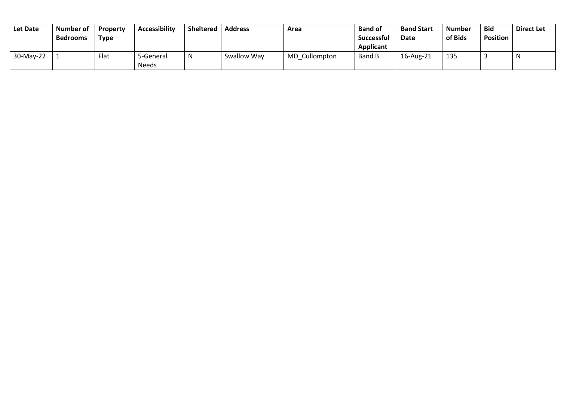| Let Date  | Number of<br><b>Bedrooms</b> | Property<br>Type | <b>Accessibility</b>      | <b>Sheltered</b> | <b>Address</b> | Area          | <b>Band of</b><br>Successful<br>Applicant | <b>Band Start</b><br>Date | <b>Number</b><br>of Bids | <b>Bid</b><br>Position | <b>Direct Let</b> |
|-----------|------------------------------|------------------|---------------------------|------------------|----------------|---------------|-------------------------------------------|---------------------------|--------------------------|------------------------|-------------------|
| 30-May-22 |                              | Flat             | 5-General<br><b>Needs</b> | N                | Swallow Way    | MD Cullompton | Band B                                    | 16-Aug-21                 | 135                      |                        | -N                |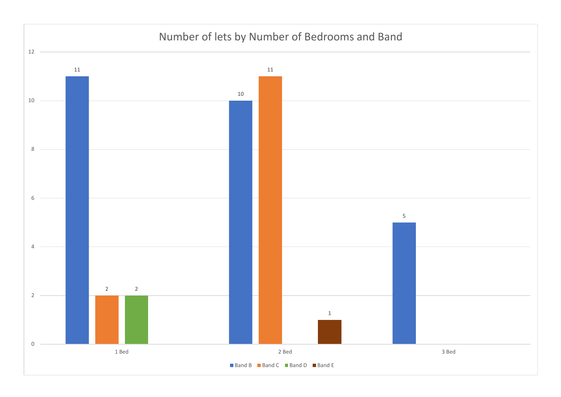